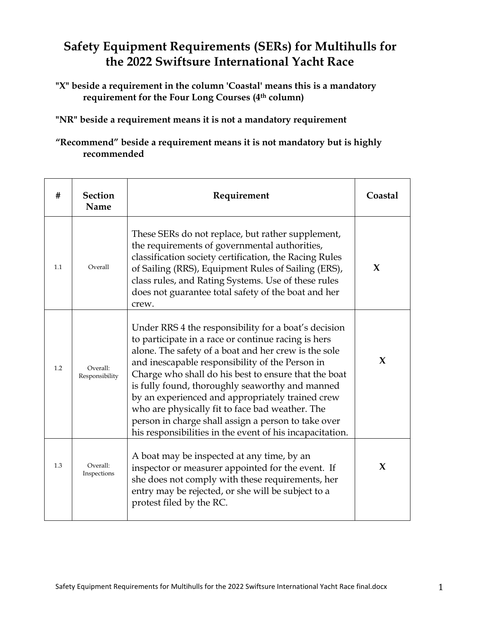## **Safety Equipment Requirements (SERs) for Multihulls for the 2022 Swiftsure International Yacht Race**

**"X" beside a requirement in the column 'Coastal' means this is a mandatory requirement for the Four Long Courses (4th column)**

**"NR" beside a requirement means it is not a mandatory requirement** 

## **"Recommend" beside a requirement means it is not mandatory but is highly recommended**

| #   | <b>Section</b><br>Name     | Requirement                                                                                                                                                                                                                                                                                                                                                                                                                                                                                                                                                 | Coastal     |
|-----|----------------------------|-------------------------------------------------------------------------------------------------------------------------------------------------------------------------------------------------------------------------------------------------------------------------------------------------------------------------------------------------------------------------------------------------------------------------------------------------------------------------------------------------------------------------------------------------------------|-------------|
| 1.1 | Overall                    | These SERs do not replace, but rather supplement,<br>the requirements of governmental authorities,<br>classification society certification, the Racing Rules<br>of Sailing (RRS), Equipment Rules of Sailing (ERS),<br>class rules, and Rating Systems. Use of these rules<br>does not guarantee total safety of the boat and her<br>crew.                                                                                                                                                                                                                  | $\mathbf x$ |
| 1.2 | Overall:<br>Responsibility | Under RRS 4 the responsibility for a boat's decision<br>to participate in a race or continue racing is hers<br>alone. The safety of a boat and her crew is the sole<br>and inescapable responsibility of the Person in<br>Charge who shall do his best to ensure that the boat<br>is fully found, thoroughly seaworthy and manned<br>by an experienced and appropriately trained crew<br>who are physically fit to face bad weather. The<br>person in charge shall assign a person to take over<br>his responsibilities in the event of his incapacitation. | X           |
| 1.3 | Overall:<br>Inspections    | A boat may be inspected at any time, by an<br>inspector or measurer appointed for the event. If<br>she does not comply with these requirements, her<br>entry may be rejected, or she will be subject to a<br>protest filed by the RC.                                                                                                                                                                                                                                                                                                                       | X           |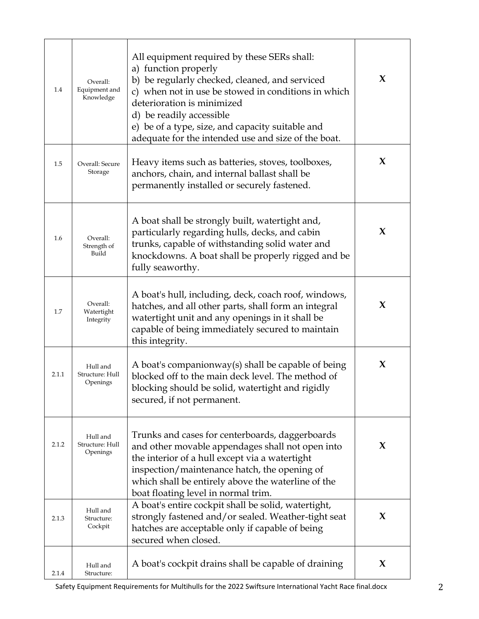| 1.4   | Overall:<br>Equipment and<br>Knowledge  | All equipment required by these SERs shall:<br>a) function properly<br>b) be regularly checked, cleaned, and serviced<br>c) when not in use be stowed in conditions in which<br>deterioration is minimized<br>d) be readily accessible<br>e) be of a type, size, and capacity suitable and<br>adequate for the intended use and size of the boat. | $\mathbf{X}$ |
|-------|-----------------------------------------|---------------------------------------------------------------------------------------------------------------------------------------------------------------------------------------------------------------------------------------------------------------------------------------------------------------------------------------------------|--------------|
| 1.5   | Overall: Secure<br>Storage              | Heavy items such as batteries, stoves, toolboxes,<br>anchors, chain, and internal ballast shall be<br>permanently installed or securely fastened.                                                                                                                                                                                                 | X            |
| 1.6   | Overall:<br>Strength of<br>Build        | A boat shall be strongly built, watertight and,<br>particularly regarding hulls, decks, and cabin<br>trunks, capable of withstanding solid water and<br>knockdowns. A boat shall be properly rigged and be<br>fully seaworthy.                                                                                                                    | X            |
| 1.7   | Overall:<br>Watertight<br>Integrity     | A boat's hull, including, deck, coach roof, windows,<br>hatches, and all other parts, shall form an integral<br>watertight unit and any openings in it shall be<br>capable of being immediately secured to maintain<br>this integrity.                                                                                                            | $\bf{X}$     |
| 2.1.1 | Hull and<br>Structure: Hull<br>Openings | A boat's companionway(s) shall be capable of being<br>blocked off to the main deck level. The method of<br>blocking should be solid, watertight and rigidly<br>secured, if not permanent.                                                                                                                                                         | X            |
| 2.1.2 | Hull and<br>Structure: Hull<br>Openings | Trunks and cases for centerboards, daggerboards<br>and other movable appendages shall not open into<br>the interior of a hull except via a watertight<br>inspection/maintenance hatch, the opening of<br>which shall be entirely above the waterline of the<br>boat floating level in normal trim.                                                | X            |
| 2.1.3 | Hull and<br>Structure:<br>Cockpit       | A boat's entire cockpit shall be solid, watertight,<br>strongly fastened and/or sealed. Weather-tight seat<br>hatches are acceptable only if capable of being<br>secured when closed.                                                                                                                                                             | X            |
| 2.1.4 | Hull and<br>Structure:                  | A boat's cockpit drains shall be capable of draining                                                                                                                                                                                                                                                                                              | X            |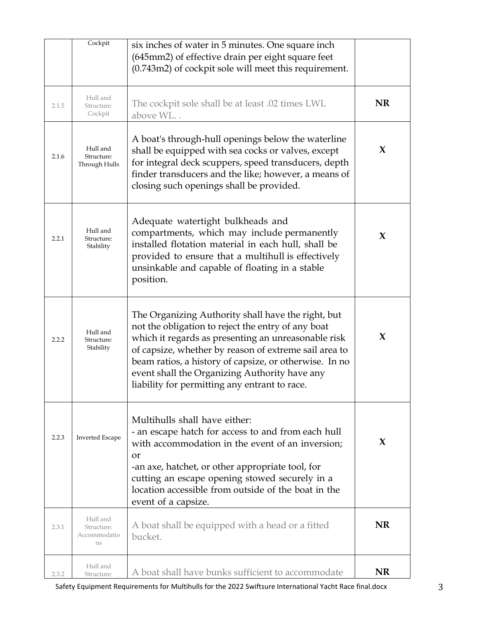|       | Cockpit                                      | six inches of water in 5 minutes. One square inch<br>(645mm2) of effective drain per eight square feet<br>(0.743m2) of cockpit sole will meet this requirement.                                                                                                                                                                                                                      |           |
|-------|----------------------------------------------|--------------------------------------------------------------------------------------------------------------------------------------------------------------------------------------------------------------------------------------------------------------------------------------------------------------------------------------------------------------------------------------|-----------|
| 2.1.5 | Hull and<br>Structure:<br>Cockpit            | The cockpit sole shall be at least .02 times LWL<br>above WL                                                                                                                                                                                                                                                                                                                         | <b>NR</b> |
| 2.1.6 | Hull and<br>Structure:<br>Through Hulls      | A boat's through-hull openings below the waterline<br>shall be equipped with sea cocks or valves, except<br>for integral deck scuppers, speed transducers, depth<br>finder transducers and the like; however, a means of<br>closing such openings shall be provided.                                                                                                                 | X         |
| 2.2.1 | Hull and<br>Structure:<br>Stability          | Adequate watertight bulkheads and<br>compartments, which may include permanently<br>installed flotation material in each hull, shall be<br>provided to ensure that a multihull is effectively<br>unsinkable and capable of floating in a stable<br>position.                                                                                                                         | X         |
| 2.2.2 | Hull and<br>Structure:<br>Stability          | The Organizing Authority shall have the right, but<br>not the obligation to reject the entry of any boat<br>which it regards as presenting an unreasonable risk<br>of capsize, whether by reason of extreme sail area to<br>beam ratios, a history of capsize, or otherwise. In no<br>event shall the Organizing Authority have any<br>liability for permitting any entrant to race. | X         |
| 2.2.3 | <b>Inverted Escape</b>                       | Multihulls shall have either:<br>- an escape hatch for access to and from each hull<br>with accommodation in the event of an inversion;<br><b>or</b><br>-an axe, hatchet, or other appropriate tool, for<br>cutting an escape opening stowed securely in a<br>location accessible from outside of the boat in the<br>event of a capsize.                                             | X         |
| 2.3.1 | Hull and<br>Structure:<br>Accommodatio<br>ns | A boat shall be equipped with a head or a fitted<br>bucket.                                                                                                                                                                                                                                                                                                                          | <b>NR</b> |
| 2.3.2 | Hull and<br>Structure:                       | A boat shall have bunks sufficient to accommodate                                                                                                                                                                                                                                                                                                                                    | <b>NR</b> |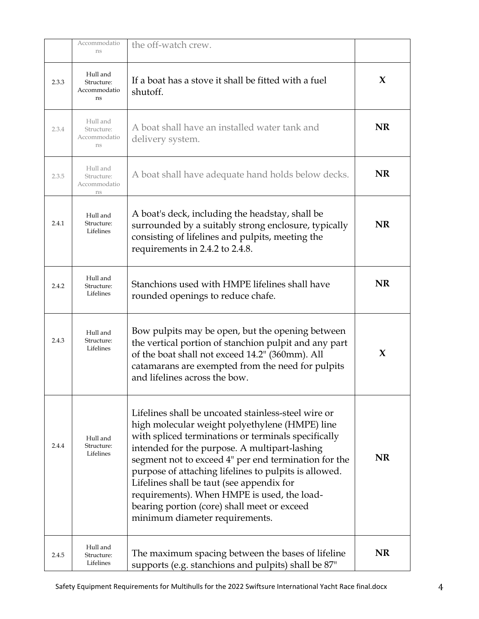|       | Accommodatio<br>ns                           | the off-watch crew.                                                                                                                                                                                                                                                                                                                                                                                                                                                                                         |           |
|-------|----------------------------------------------|-------------------------------------------------------------------------------------------------------------------------------------------------------------------------------------------------------------------------------------------------------------------------------------------------------------------------------------------------------------------------------------------------------------------------------------------------------------------------------------------------------------|-----------|
| 2.3.3 | Hull and<br>Structure:<br>Accommodatio<br>ns | If a boat has a stove it shall be fitted with a fuel<br>shutoff.                                                                                                                                                                                                                                                                                                                                                                                                                                            | X         |
| 2.3.4 | Hull and<br>Structure:<br>Accommodatio<br>ns | A boat shall have an installed water tank and<br>delivery system.                                                                                                                                                                                                                                                                                                                                                                                                                                           | <b>NR</b> |
| 2.3.5 | Hull and<br>Structure:<br>Accommodatio<br>ns | A boat shall have adequate hand holds below decks.                                                                                                                                                                                                                                                                                                                                                                                                                                                          | NR        |
| 2.4.1 | Hull and<br>Structure:<br>Lifelines          | A boat's deck, including the headstay, shall be<br>surrounded by a suitably strong enclosure, typically<br>consisting of lifelines and pulpits, meeting the<br>requirements in 2.4.2 to 2.4.8.                                                                                                                                                                                                                                                                                                              | NR        |
| 2.4.2 | Hull and<br>Structure:<br>Lifelines          | Stanchions used with HMPE lifelines shall have<br>rounded openings to reduce chafe.                                                                                                                                                                                                                                                                                                                                                                                                                         | <b>NR</b> |
| 2.4.3 | Hull and<br>Structure:<br>Lifelines          | Bow pulpits may be open, but the opening between<br>the vertical portion of stanchion pulpit and any part<br>of the boat shall not exceed 14.2" (360mm). All<br>catamarans are exempted from the need for pulpits<br>and lifelines across the bow.                                                                                                                                                                                                                                                          | X         |
| 2.4.4 | Hull and<br>Structure:<br>Lifelines          | Lifelines shall be uncoated stainless-steel wire or<br>high molecular weight polyethylene (HMPE) line<br>with spliced terminations or terminals specifically<br>intended for the purpose. A multipart-lashing<br>segment not to exceed 4" per end termination for the<br>purpose of attaching lifelines to pulpits is allowed.<br>Lifelines shall be taut (see appendix for<br>requirements). When HMPE is used, the load-<br>bearing portion (core) shall meet or exceed<br>minimum diameter requirements. | <b>NR</b> |
| 2.4.5 | Hull and<br>Structure:<br>Lifelines          | The maximum spacing between the bases of lifeline<br>supports (e.g. stanchions and pulpits) shall be 87"                                                                                                                                                                                                                                                                                                                                                                                                    | <b>NR</b> |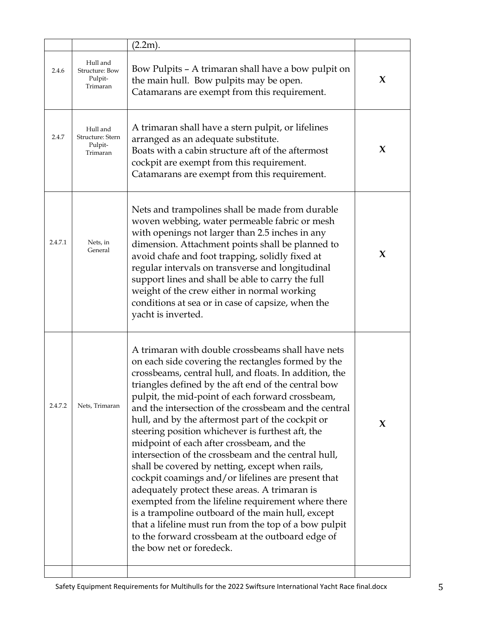|         |                                                     | (2.2m).                                                                                                                                                                                                                                                                                                                                                                                                                                                                                                                                                                                                                                                                                                                                                                                                                                                                                                                                                          |   |
|---------|-----------------------------------------------------|------------------------------------------------------------------------------------------------------------------------------------------------------------------------------------------------------------------------------------------------------------------------------------------------------------------------------------------------------------------------------------------------------------------------------------------------------------------------------------------------------------------------------------------------------------------------------------------------------------------------------------------------------------------------------------------------------------------------------------------------------------------------------------------------------------------------------------------------------------------------------------------------------------------------------------------------------------------|---|
| 2.4.6   | Hull and<br>Structure: Bow<br>Pulpit-<br>Trimaran   | Bow Pulpits – A trimaran shall have a bow pulpit on<br>the main hull. Bow pulpits may be open.<br>Catamarans are exempt from this requirement.                                                                                                                                                                                                                                                                                                                                                                                                                                                                                                                                                                                                                                                                                                                                                                                                                   | X |
| 2.4.7   | Hull and<br>Structure: Stern<br>Pulpit-<br>Trimaran | A trimaran shall have a stern pulpit, or lifelines<br>arranged as an adequate substitute.<br>Boats with a cabin structure aft of the aftermost<br>cockpit are exempt from this requirement.<br>Catamarans are exempt from this requirement.                                                                                                                                                                                                                                                                                                                                                                                                                                                                                                                                                                                                                                                                                                                      | X |
| 2.4.7.1 | Nets, in<br>General                                 | Nets and trampolines shall be made from durable<br>woven webbing, water permeable fabric or mesh<br>with openings not larger than 2.5 inches in any<br>dimension. Attachment points shall be planned to<br>avoid chafe and foot trapping, solidly fixed at<br>regular intervals on transverse and longitudinal<br>support lines and shall be able to carry the full<br>weight of the crew either in normal working<br>conditions at sea or in case of capsize, when the<br>yacht is inverted.                                                                                                                                                                                                                                                                                                                                                                                                                                                                    | X |
| 2.4.7.2 | Nets, Trimaran                                      | A trimaran with double crossbeams shall have nets<br>on each side covering the rectangles formed by the<br>crossbeams, central hull, and floats. In addition, the<br>triangles defined by the aft end of the central bow<br>pulpit, the mid-point of each forward crossbeam,<br>and the intersection of the crossbeam and the central<br>hull, and by the aftermost part of the cockpit or<br>steering position whichever is furthest aft, the<br>midpoint of each after crossbeam, and the<br>intersection of the crossbeam and the central hull,<br>shall be covered by netting, except when rails,<br>cockpit coamings and/or lifelines are present that<br>adequately protect these areas. A trimaran is<br>exempted from the lifeline requirement where there<br>is a trampoline outboard of the main hull, except<br>that a lifeline must run from the top of a bow pulpit<br>to the forward crossbeam at the outboard edge of<br>the bow net or foredeck. | X |
|         |                                                     |                                                                                                                                                                                                                                                                                                                                                                                                                                                                                                                                                                                                                                                                                                                                                                                                                                                                                                                                                                  |   |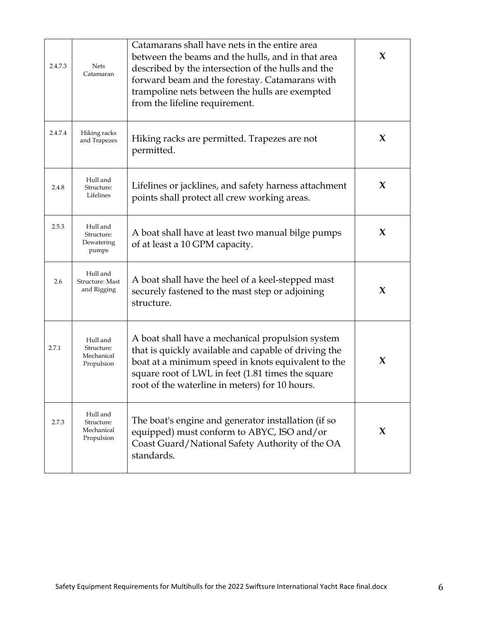| 2.4.7.3 | <b>Nets</b><br>Catamaran                           | Catamarans shall have nets in the entire area<br>between the beams and the hulls, and in that area<br>described by the intersection of the hulls and the<br>forward beam and the forestay. Catamarans with<br>trampoline nets between the hulls are exempted<br>from the lifeline requirement. | X |
|---------|----------------------------------------------------|------------------------------------------------------------------------------------------------------------------------------------------------------------------------------------------------------------------------------------------------------------------------------------------------|---|
| 2.4.7.4 | Hiking racks<br>and Trapezes                       | Hiking racks are permitted. Trapezes are not<br>permitted.                                                                                                                                                                                                                                     | X |
| 2.4.8   | Hull and<br>Structure:<br>Lifelines                | Lifelines or jacklines, and safety harness attachment<br>points shall protect all crew working areas.                                                                                                                                                                                          | X |
| 2.5.3   | Hull and<br>Structure:<br>Dewatering<br>pumps      | A boat shall have at least two manual bilge pumps<br>of at least a 10 GPM capacity.                                                                                                                                                                                                            | X |
| 2.6     | Hull and<br>Structure: Mast<br>and Rigging         | A boat shall have the heel of a keel-stepped mast<br>securely fastened to the mast step or adjoining<br>structure.                                                                                                                                                                             | X |
| 2.7.1   | Hull and<br>Structure:<br>Mechanical<br>Propulsion | A boat shall have a mechanical propulsion system<br>that is quickly available and capable of driving the<br>boat at a minimum speed in knots equivalent to the<br>square root of LWL in feet (1.81 times the square<br>root of the waterline in meters) for 10 hours.                          | X |
| 2.7.3   | Hull and<br>Structure:<br>Mechanical<br>Propulsion | The boat's engine and generator installation (if so<br>equipped) must conform to ABYC, ISO and/or<br>Coast Guard/National Safety Authority of the OA<br>standards.                                                                                                                             | X |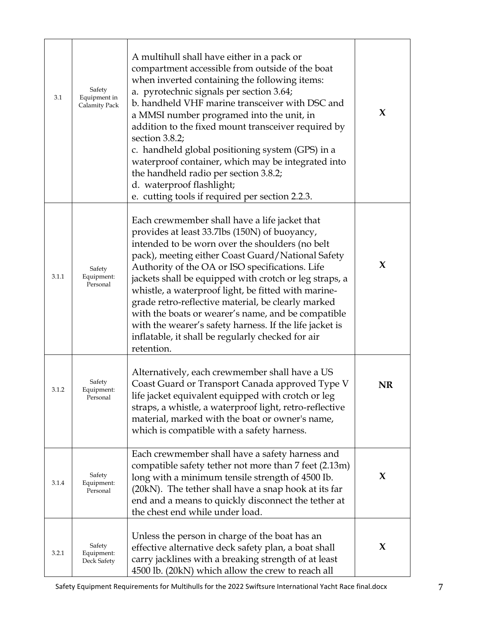| 3.1   | Safety<br>Equipment in<br>Calamity Pack | A multihull shall have either in a pack or<br>compartment accessible from outside of the boat<br>when inverted containing the following items:<br>a. pyrotechnic signals per section 3.64;<br>b. handheld VHF marine transceiver with DSC and<br>a MMSI number programed into the unit, in<br>addition to the fixed mount transceiver required by<br>section 3.8.2;<br>c. handheld global positioning system (GPS) in a<br>waterproof container, which may be integrated into<br>the handheld radio per section 3.8.2;<br>d. waterproof flashlight;<br>e. cutting tools if required per section 2.2.3.               | X  |
|-------|-----------------------------------------|----------------------------------------------------------------------------------------------------------------------------------------------------------------------------------------------------------------------------------------------------------------------------------------------------------------------------------------------------------------------------------------------------------------------------------------------------------------------------------------------------------------------------------------------------------------------------------------------------------------------|----|
| 3.1.1 | Safety<br>Equipment:<br>Personal        | Each crewmember shall have a life jacket that<br>provides at least 33.7lbs (150N) of buoyancy,<br>intended to be worn over the shoulders (no belt<br>pack), meeting either Coast Guard/National Safety<br>Authority of the OA or ISO specifications. Life<br>jackets shall be equipped with crotch or leg straps, a<br>whistle, a waterproof light, be fitted with marine-<br>grade retro-reflective material, be clearly marked<br>with the boats or wearer's name, and be compatible<br>with the wearer's safety harness. If the life jacket is<br>inflatable, it shall be regularly checked for air<br>retention. | X  |
| 3.1.2 | Safety<br>Equipment:<br>Personal        | Alternatively, each crewmember shall have a US<br>Coast Guard or Transport Canada approved Type V<br>life jacket equivalent equipped with crotch or leg<br>straps, a whistle, a waterproof light, retro-reflective<br>material, marked with the boat or owner's name,<br>which is compatible with a safety harness.                                                                                                                                                                                                                                                                                                  | NR |
| 3.1.4 | Safety<br>Equipment:<br>Personal        | Each crewmember shall have a safety harness and<br>compatible safety tether not more than 7 feet (2.13m)<br>long with a minimum tensile strength of 4500 Ib.<br>(20kN). The tether shall have a snap hook at its far<br>end and a means to quickly disconnect the tether at<br>the chest end while under load.                                                                                                                                                                                                                                                                                                       | X  |
| 3.2.1 | Safety<br>Equipment:<br>Deck Safety     | Unless the person in charge of the boat has an<br>effective alternative deck safety plan, a boat shall<br>carry jacklines with a breaking strength of at least<br>4500 lb. (20kN) which allow the crew to reach all                                                                                                                                                                                                                                                                                                                                                                                                  | X  |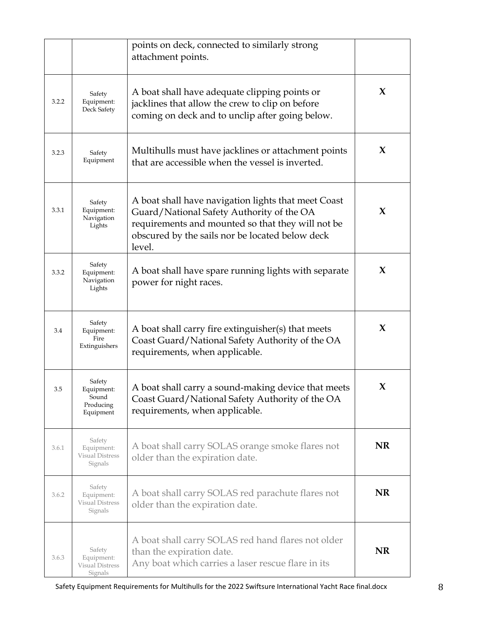|       |                                                         | points on deck, connected to similarly strong<br>attachment points.                                                                                                                                                |           |
|-------|---------------------------------------------------------|--------------------------------------------------------------------------------------------------------------------------------------------------------------------------------------------------------------------|-----------|
| 3.2.2 | Safety<br>Equipment:<br>Deck Safety                     | A boat shall have adequate clipping points or<br>jacklines that allow the crew to clip on before<br>coming on deck and to unclip after going below.                                                                | X         |
| 3.2.3 | Safety<br>Equipment                                     | Multihulls must have jacklines or attachment points<br>that are accessible when the vessel is inverted.                                                                                                            | X         |
| 3.3.1 | Safety<br>Equipment:<br>Navigation<br>Lights            | A boat shall have navigation lights that meet Coast<br>Guard/National Safety Authority of the OA<br>requirements and mounted so that they will not be<br>obscured by the sails nor be located below deck<br>level. | X         |
| 3.3.2 | Safety<br>Equipment:<br>Navigation<br>Lights            | A boat shall have spare running lights with separate<br>power for night races.                                                                                                                                     | X         |
| 3.4   | Safety<br>Equipment:<br>Fire<br>Extinguishers           | A boat shall carry fire extinguisher(s) that meets<br>Coast Guard/National Safety Authority of the OA<br>requirements, when applicable.                                                                            | $\bf{X}$  |
| 3.5   | Safety<br>Equipment:<br>Sound<br>Producing<br>Equipment | A boat shall carry a sound-making device that meets<br>Coast Guard/National Safety Authority of the OA<br>requirements, when applicable.                                                                           | X.        |
| 3.6.1 | Safety<br>Equipment:<br>Visual Distress<br>Signals      | A boat shall carry SOLAS orange smoke flares not<br>older than the expiration date.                                                                                                                                | <b>NR</b> |
| 3.6.2 | Safety<br>Equipment:<br>Visual Distress<br>Signals      | A boat shall carry SOLAS red parachute flares not<br>older than the expiration date.                                                                                                                               | <b>NR</b> |
| 3.6.3 | Safety<br>Equipment:<br>Visual Distress<br>Signals      | A boat shall carry SOLAS red hand flares not older<br>than the expiration date.<br>Any boat which carries a laser rescue flare in its                                                                              | <b>NR</b> |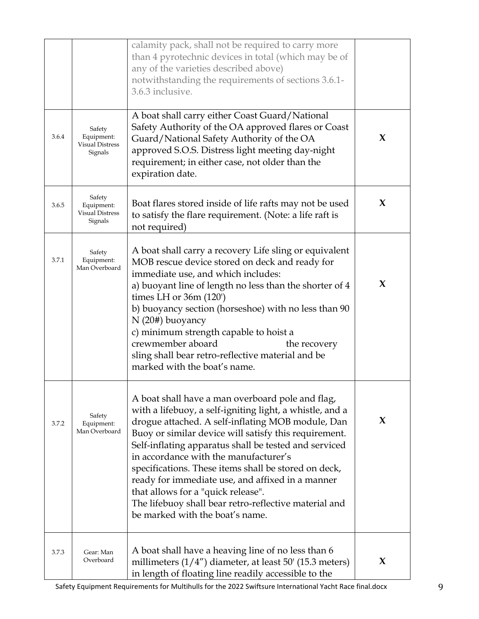|       |                                                           | calamity pack, shall not be required to carry more<br>than 4 pyrotechnic devices in total (which may be of<br>any of the varieties described above)<br>notwithstanding the requirements of sections 3.6.1-<br>3.6.3 inclusive.                                                                                                                                                                                                                                                                                                                                             |   |
|-------|-----------------------------------------------------------|----------------------------------------------------------------------------------------------------------------------------------------------------------------------------------------------------------------------------------------------------------------------------------------------------------------------------------------------------------------------------------------------------------------------------------------------------------------------------------------------------------------------------------------------------------------------------|---|
| 3.6.4 | Safety<br>Equipment:<br><b>Visual Distress</b><br>Signals | A boat shall carry either Coast Guard/National<br>Safety Authority of the OA approved flares or Coast<br>Guard/National Safety Authority of the OA<br>approved S.O.S. Distress light meeting day-night<br>requirement; in either case, not older than the<br>expiration date.                                                                                                                                                                                                                                                                                              | X |
| 3.6.5 | Safety<br>Equipment:<br>Visual Distress<br>Signals        | Boat flares stored inside of life rafts may not be used<br>to satisfy the flare requirement. (Note: a life raft is<br>not required)                                                                                                                                                                                                                                                                                                                                                                                                                                        | X |
| 3.7.1 | Safety<br>Equipment:<br>Man Overboard                     | A boat shall carry a recovery Life sling or equivalent<br>MOB rescue device stored on deck and ready for<br>immediate use, and which includes:<br>a) buoyant line of length no less than the shorter of 4<br>times LH or $36m(120)$<br>b) buoyancy section (horseshoe) with no less than 90<br>$N(20#)$ buoyancy<br>c) minimum strength capable to hoist a<br>crewmember aboard<br>the recovery<br>sling shall bear retro-reflective material and be<br>marked with the boat's name.                                                                                       | X |
| 3.7.2 | Safety<br>Equipment:<br>Man Overboard                     | A boat shall have a man overboard pole and flag,<br>with a lifebuoy, a self-igniting light, a whistle, and a<br>drogue attached. A self-inflating MOB module, Dan<br>Buoy or similar device will satisfy this requirement.<br>Self-inflating apparatus shall be tested and serviced<br>in accordance with the manufacturer's<br>specifications. These items shall be stored on deck,<br>ready for immediate use, and affixed in a manner<br>that allows for a "quick release".<br>The lifebuoy shall bear retro-reflective material and<br>be marked with the boat's name. | X |
| 3.7.3 | Gear: Man<br>Overboard                                    | A boat shall have a heaving line of no less than 6<br>millimeters $(1/4)$ diameter, at least 50' (15.3 meters)<br>in length of floating line readily accessible to the                                                                                                                                                                                                                                                                                                                                                                                                     | X |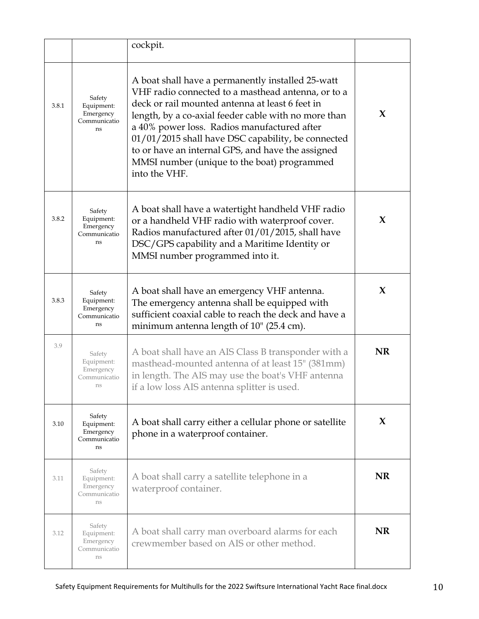|       |                                                         | cockpit.                                                                                                                                                                                                                                                                                                                                                                                                                                     |           |
|-------|---------------------------------------------------------|----------------------------------------------------------------------------------------------------------------------------------------------------------------------------------------------------------------------------------------------------------------------------------------------------------------------------------------------------------------------------------------------------------------------------------------------|-----------|
| 3.8.1 | Safety<br>Equipment:<br>Emergency<br>Communicatio<br>ns | A boat shall have a permanently installed 25-watt<br>VHF radio connected to a masthead antenna, or to a<br>deck or rail mounted antenna at least 6 feet in<br>length, by a co-axial feeder cable with no more than<br>a 40% power loss. Radios manufactured after<br>01/01/2015 shall have DSC capability, be connected<br>to or have an internal GPS, and have the assigned<br>MMSI number (unique to the boat) programmed<br>into the VHF. | X         |
| 3.8.2 | Safety<br>Equipment:<br>Emergency<br>Communicatio<br>ns | A boat shall have a watertight handheld VHF radio<br>or a handheld VHF radio with waterproof cover.<br>Radios manufactured after 01/01/2015, shall have<br>DSC/GPS capability and a Maritime Identity or<br>MMSI number programmed into it.                                                                                                                                                                                                  | X         |
| 3.8.3 | Safety<br>Equipment:<br>Emergency<br>Communicatio<br>ns | A boat shall have an emergency VHF antenna.<br>The emergency antenna shall be equipped with<br>sufficient coaxial cable to reach the deck and have a<br>minimum antenna length of $10"$ (25.4 cm).                                                                                                                                                                                                                                           | $\bf{X}$  |
| 3.9   | Safety<br>Equipment:<br>Emergency<br>Communicatio<br>ns | A boat shall have an AIS Class B transponder with a<br>masthead-mounted antenna of at least 15" (381mm)<br>in length. The AIS may use the boat's VHF antenna<br>if a low loss AIS antenna splitter is used.                                                                                                                                                                                                                                  | <b>NR</b> |
| 3.10  | Safety<br>Equipment:<br>Emergency<br>Communicatio<br>ns | A boat shall carry either a cellular phone or satellite<br>phone in a waterproof container.                                                                                                                                                                                                                                                                                                                                                  | X         |
| 3.11  | Safety<br>Equipment:<br>Emergency<br>Communicatio<br>ns | A boat shall carry a satellite telephone in a<br>waterproof container.                                                                                                                                                                                                                                                                                                                                                                       | <b>NR</b> |
| 3.12  | Safety<br>Equipment:<br>Emergency<br>Communicatio<br>ns | A boat shall carry man overboard alarms for each<br>crewmember based on AIS or other method.                                                                                                                                                                                                                                                                                                                                                 | <b>NR</b> |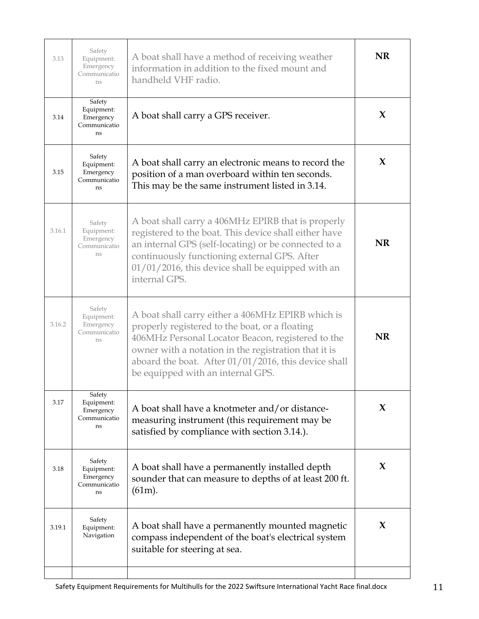| 3.13   | Safety<br>Equipment:<br>Emergency<br>Communicatio<br>ns | A boat shall have a method of receiving weather<br>information in addition to the fixed mount and<br>handheld VHF radio.                                                                                                                                                                                      | NR |
|--------|---------------------------------------------------------|---------------------------------------------------------------------------------------------------------------------------------------------------------------------------------------------------------------------------------------------------------------------------------------------------------------|----|
| 3.14   | Safety<br>Equipment:<br>Emergency<br>Communicatio<br>ns | A boat shall carry a GPS receiver.                                                                                                                                                                                                                                                                            | X  |
| 3.15   | Safety<br>Equipment:<br>Emergency<br>Communicatio<br>ns | A boat shall carry an electronic means to record the<br>position of a man overboard within ten seconds.<br>This may be the same instrument listed in 3.14.                                                                                                                                                    | X  |
| 3.16.1 | Safety<br>Equipment:<br>Emergency<br>Communicatio<br>ns | A boat shall carry a 406MHz EPIRB that is properly<br>registered to the boat. This device shall either have<br>an internal GPS (self-locating) or be connected to a<br>continuously functioning external GPS. After<br>$01/01/2016$ , this device shall be equipped with an<br>internal GPS.                  | NR |
| 3.16.2 | Safety<br>Equipment:<br>Emergency<br>Communicatio<br>ns | A boat shall carry either a 406MHz EPIRB which is<br>properly registered to the boat, or a floating<br>406MHz Personal Locator Beacon, registered to the<br>owner with a notation in the registration that it is<br>aboard the boat. After 01/01/2016, this device shall<br>be equipped with an internal GPS. | NR |
| 3.17   | Safety<br>Equipment:<br>Emergency<br>Communicatio<br>ns | A boat shall have a knotmeter and/or distance-<br>measuring instrument (this requirement may be<br>satisfied by compliance with section 3.14.).                                                                                                                                                               | X  |
| 3.18   | Safety<br>Equipment:<br>Emergency<br>Communicatio<br>ns | A boat shall have a permanently installed depth<br>sounder that can measure to depths of at least 200 ft.<br>$(61m)$ .                                                                                                                                                                                        | X  |
| 3.19.1 | Safety<br>Equipment:<br>Navigation                      | A boat shall have a permanently mounted magnetic<br>compass independent of the boat's electrical system<br>suitable for steering at sea.                                                                                                                                                                      | X  |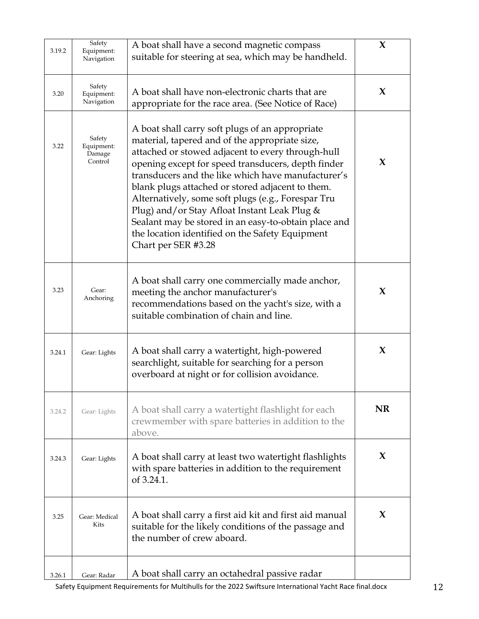| 3.19.2 | Safety<br>Equipment:<br>Navigation        | A boat shall have a second magnetic compass<br>suitable for steering at sea, which may be handheld.                                                                                                                                                                                                                                                                                                                                                                                                                                                            | X         |
|--------|-------------------------------------------|----------------------------------------------------------------------------------------------------------------------------------------------------------------------------------------------------------------------------------------------------------------------------------------------------------------------------------------------------------------------------------------------------------------------------------------------------------------------------------------------------------------------------------------------------------------|-----------|
| 3.20   | Safety<br>Equipment:<br>Navigation        | A boat shall have non-electronic charts that are<br>appropriate for the race area. (See Notice of Race)                                                                                                                                                                                                                                                                                                                                                                                                                                                        | X         |
| 3.22   | Safety<br>Equipment:<br>Damage<br>Control | A boat shall carry soft plugs of an appropriate<br>material, tapered and of the appropriate size,<br>attached or stowed adjacent to every through-hull<br>opening except for speed transducers, depth finder<br>transducers and the like which have manufacturer's<br>blank plugs attached or stored adjacent to them.<br>Alternatively, some soft plugs (e.g., Forespar Tru<br>Plug) and/or Stay Afloat Instant Leak Plug &<br>Sealant may be stored in an easy-to-obtain place and<br>the location identified on the Safety Equipment<br>Chart per SER #3.28 | X         |
| 3.23   | Gear:<br>Anchoring                        | A boat shall carry one commercially made anchor,<br>meeting the anchor manufacturer's<br>recommendations based on the yacht's size, with a<br>suitable combination of chain and line.                                                                                                                                                                                                                                                                                                                                                                          | X         |
| 3.24.1 | Gear: Lights                              | A boat shall carry a watertight, high-powered<br>searchlight, suitable for searching for a person<br>overboard at night or for collision avoidance.                                                                                                                                                                                                                                                                                                                                                                                                            | X         |
| 3.24.2 | Gear: Lights                              | A boat shall carry a watertight flashlight for each<br>crewmember with spare batteries in addition to the<br>above.                                                                                                                                                                                                                                                                                                                                                                                                                                            | <b>NR</b> |
| 3.24.3 | Gear: Lights                              | A boat shall carry at least two watertight flashlights<br>with spare batteries in addition to the requirement<br>of 3.24.1.                                                                                                                                                                                                                                                                                                                                                                                                                                    | X         |
| 3.25   | Gear: Medical<br>Kits                     | A boat shall carry a first aid kit and first aid manual<br>suitable for the likely conditions of the passage and<br>the number of crew aboard.                                                                                                                                                                                                                                                                                                                                                                                                                 | X         |
| 3.26.1 | Gear: Radar                               | A boat shall carry an octahedral passive radar                                                                                                                                                                                                                                                                                                                                                                                                                                                                                                                 |           |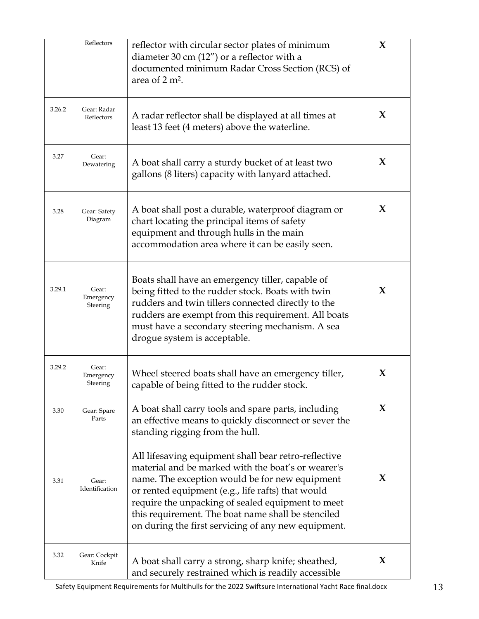|        | Reflectors                     | reflector with circular sector plates of minimum<br>diameter 30 cm $(12'')$ or a reflector with a<br>documented minimum Radar Cross Section (RCS) of<br>area of $2 \text{ m}^2$ .                                                                                                                                                                                                   | $\mathbf{X}$ |
|--------|--------------------------------|-------------------------------------------------------------------------------------------------------------------------------------------------------------------------------------------------------------------------------------------------------------------------------------------------------------------------------------------------------------------------------------|--------------|
| 3.26.2 | Gear: Radar<br>Reflectors      | A radar reflector shall be displayed at all times at<br>least 13 feet (4 meters) above the waterline.                                                                                                                                                                                                                                                                               | X            |
| 3.27   | Gear:<br>Dewatering            | A boat shall carry a sturdy bucket of at least two<br>gallons (8 liters) capacity with lanyard attached.                                                                                                                                                                                                                                                                            | X            |
| 3.28   | Gear: Safety<br>Diagram        | A boat shall post a durable, waterproof diagram or<br>chart locating the principal items of safety<br>equipment and through hulls in the main<br>accommodation area where it can be easily seen.                                                                                                                                                                                    | $\bf{X}$     |
| 3.29.1 | Gear:<br>Emergency<br>Steering | Boats shall have an emergency tiller, capable of<br>being fitted to the rudder stock. Boats with twin<br>rudders and twin tillers connected directly to the<br>rudders are exempt from this requirement. All boats<br>must have a secondary steering mechanism. A sea<br>drogue system is acceptable.                                                                               | X            |
| 3.29.2 | Gear:<br>Emergency<br>Steering | Wheel steered boats shall have an emergency tiller,<br>capable of being fitted to the rudder stock.                                                                                                                                                                                                                                                                                 | X            |
| 3.30   | Gear: Spare<br>Parts           | A boat shall carry tools and spare parts, including<br>an effective means to quickly disconnect or sever the<br>standing rigging from the hull.                                                                                                                                                                                                                                     | X            |
| 3.31   | Gear:<br>Identification        | All lifesaving equipment shall bear retro-reflective<br>material and be marked with the boat's or wearer's<br>name. The exception would be for new equipment<br>or rented equipment (e.g., life rafts) that would<br>require the unpacking of sealed equipment to meet<br>this requirement. The boat name shall be stenciled<br>on during the first servicing of any new equipment. | X            |
| 3.32   | Gear: Cockpit<br>Knife         | A boat shall carry a strong, sharp knife; sheathed,<br>and securely restrained which is readily accessible                                                                                                                                                                                                                                                                          | X            |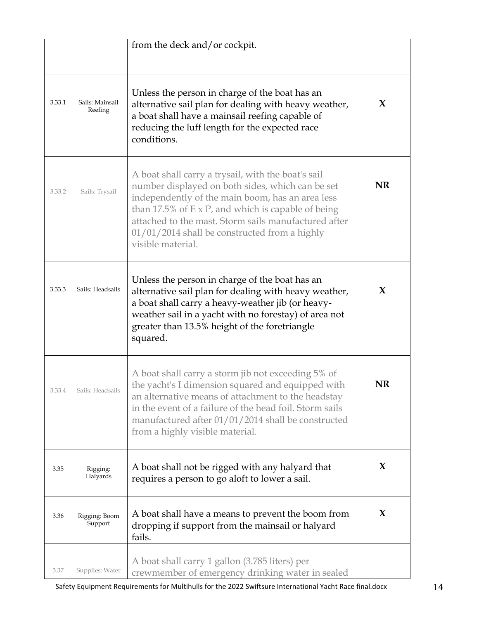|        |                            | from the deck and/or cockpit.                                                                                                                                                                                                                                                                                                                          |           |
|--------|----------------------------|--------------------------------------------------------------------------------------------------------------------------------------------------------------------------------------------------------------------------------------------------------------------------------------------------------------------------------------------------------|-----------|
| 3.33.1 | Sails: Mainsail<br>Reefing | Unless the person in charge of the boat has an<br>alternative sail plan for dealing with heavy weather,<br>a boat shall have a mainsail reefing capable of<br>reducing the luff length for the expected race<br>conditions.                                                                                                                            | X         |
| 3.33.2 | Sails: Trysail             | A boat shall carry a trysail, with the boat's sail<br>number displayed on both sides, which can be set<br>independently of the main boom, has an area less<br>than 17.5% of $E \times P$ , and which is capable of being<br>attached to the mast. Storm sails manufactured after<br>01/01/2014 shall be constructed from a highly<br>visible material. | <b>NR</b> |
| 3.33.3 | Sails: Headsails           | Unless the person in charge of the boat has an<br>alternative sail plan for dealing with heavy weather,<br>a boat shall carry a heavy-weather jib (or heavy-<br>weather sail in a yacht with no forestay) of area not<br>greater than 13.5% height of the foretriangle<br>squared.                                                                     | $\bf{X}$  |
| 3.33.4 | Sails: Headsails           | A boat shall carry a storm jib not exceeding 5% of<br>the yacht's I dimension squared and equipped with<br>an alternative means of attachment to the headstay<br>in the event of a failure of the head foil. Storm sails<br>manufactured after 01/01/2014 shall be constructed<br>from a highly visible material.                                      | <b>NR</b> |
| 3.35   | Rigging:<br>Halyards       | A boat shall not be rigged with any halyard that<br>requires a person to go aloft to lower a sail.                                                                                                                                                                                                                                                     | X         |
| 3.36   | Rigging: Boom<br>Support   | A boat shall have a means to prevent the boom from<br>dropping if support from the mainsail or halyard<br>fails.                                                                                                                                                                                                                                       | X         |
| 3.37   | Supplies: Water            | A boat shall carry 1 gallon (3.785 liters) per<br>crewmember of emergency drinking water in sealed                                                                                                                                                                                                                                                     |           |